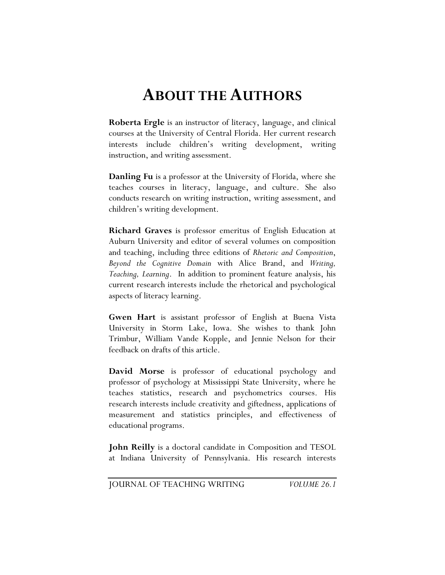## **ABOUT THE AUTHORS**

**Roberta Ergle** is an instructor of literacy, language, and clinical courses at the University of Central Florida. Her current research interests include children's writing development, writing instruction, and writing assessment.

**Danling Fu** is a professor at the University of Florida, where she teaches courses in literacy, language, and culture. She also conducts research on writing instruction, writing assessment, and children's writing development.

**Richard Graves** is professor emeritus of English Education at Auburn University and editor of several volumes on composition and teaching, including three editions of *Rhetoric and Composition*, *Beyond the Cognitive Domain* with Alice Brand, and *Writing, Teaching, Learning*. In addition to prominent feature analysis, his current research interests include the rhetorical and psychological aspects of literacy learning.

**Gwen Hart** is assistant professor of English at Buena Vista University in Storm Lake, Iowa. She wishes to thank John Trimbur, William Vande Kopple, and Jennie Nelson for their feedback on drafts of this article.

**David Morse** is professor of educational psychology and professor of psychology at Mississippi State University, where he teaches statistics, research and psychometrics courses. His research interests include creativity and giftedness, applications of measurement and statistics principles, and effectiveness of educational programs.

**John Reilly** is a doctoral candidate in Composition and TESOL at Indiana University of Pennsylvania. His research interests